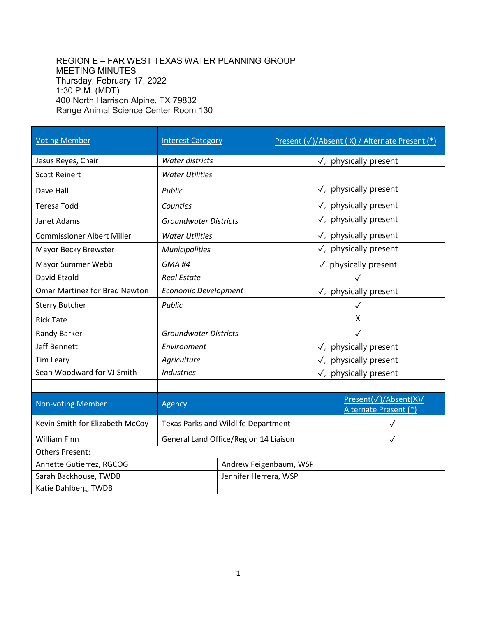## REGION E – FAR WEST TEXAS WATER PLANNING GROUP MEETING MINUTES Thursday, February 17, 2022 1:30 P.M. (MDT) 400 North Harrison Alpine, TX 79832 Range Animal Science Center Room 130

| <b>Voting Member</b>                 | <b>Interest Category</b>                   |                        | Present (√)/Absent (X) / Alternate Present (*) |                                                |
|--------------------------------------|--------------------------------------------|------------------------|------------------------------------------------|------------------------------------------------|
| Jesus Reyes, Chair                   | Water districts                            |                        | $\sqrt{ }$ , physically present                |                                                |
| <b>Scott Reinert</b>                 | <b>Water Utilities</b>                     |                        |                                                |                                                |
| Dave Hall                            | Public                                     |                        | $\sqrt{ }$ , physically present                |                                                |
| <b>Teresa Todd</b>                   | Counties                                   |                        | $\checkmark$ , physically present              |                                                |
| Janet Adams                          | <b>Groundwater Districts</b>               |                        | $\sqrt{ }$ , physically present                |                                                |
| <b>Commissioner Albert Miller</b>    | <b>Water Utilities</b>                     |                        | $\checkmark$ , physically present              |                                                |
| Mayor Becky Brewster                 | <b>Municipalities</b>                      |                        | $\checkmark$ , physically present              |                                                |
| Mayor Summer Webb                    | <b>GMA #4</b>                              |                        | $\sqrt{ }$ , physically present                |                                                |
| David Etzold                         | <b>Real Estate</b>                         |                        |                                                |                                                |
| <b>Omar Martinez for Brad Newton</b> | <b>Economic Development</b>                |                        | $\checkmark$ , physically present              |                                                |
| <b>Sterry Butcher</b>                | Public                                     |                        | $\checkmark$                                   |                                                |
| <b>Rick Tate</b>                     |                                            |                        | $\overline{\mathsf{X}}$                        |                                                |
| Randy Barker                         | <b>Groundwater Districts</b>               |                        | $\checkmark$                                   |                                                |
| <b>Jeff Bennett</b>                  | Environment                                |                        | $\sqrt{ }$ , physically present                |                                                |
| Tim Leary                            | Agriculture                                |                        | $\sqrt{ }$ , physically present                |                                                |
| Sean Woodward for VJ Smith           | <b>Industries</b>                          |                        | $\sqrt{ }$ , physically present                |                                                |
|                                      |                                            |                        |                                                |                                                |
| <b>Non-voting Member</b>             | <b>Agency</b>                              |                        |                                                | Present(√)/Absent(X)/<br>Alternate Present (*) |
| Kevin Smith for Elizabeth McCoy      | <b>Texas Parks and Wildlife Department</b> |                        |                                                | $\checkmark$                                   |
| William Finn                         | General Land Office/Region 14 Liaison      |                        |                                                | $\checkmark$                                   |
| <b>Others Present:</b>               |                                            |                        |                                                |                                                |
| Annette Gutierrez, RGCOG             |                                            | Andrew Feigenbaum, WSP |                                                |                                                |
| Sarah Backhouse, TWDB                |                                            | Jennifer Herrera, WSP  |                                                |                                                |
| Katie Dahlberg, TWDB                 |                                            |                        |                                                |                                                |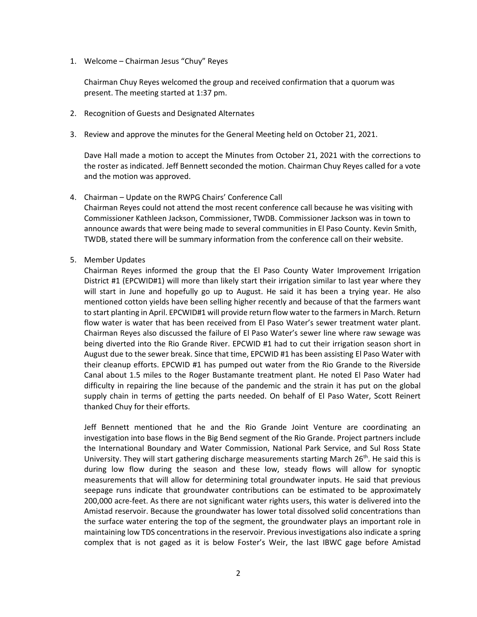1. Welcome – Chairman Jesus "Chuy" Reyes

Chairman Chuy Reyes welcomed the group and received confirmation that a quorum was present. The meeting started at 1:37 pm.

- 2. Recognition of Guests and Designated Alternates
- 3. Review and approve the minutes for the General Meeting held on October 21, 2021.

Dave Hall made a motion to accept the Minutes from October 21, 2021 with the corrections to the roster as indicated. Jeff Bennett seconded the motion. Chairman Chuy Reyes called for a vote and the motion was approved.

4. Chairman – Update on the RWPG Chairs' Conference Call

Chairman Reyes could not attend the most recent conference call because he was visiting with Commissioner Kathleen Jackson, Commissioner, TWDB. Commissioner Jackson was in town to announce awards that were being made to several communities in El Paso County. Kevin Smith, TWDB, stated there will be summary information from the conference call on their website.

5. Member Updates

Chairman Reyes informed the group that the El Paso County Water Improvement Irrigation District #1 (EPCWID#1) will more than likely start their irrigation similar to last year where they will start in June and hopefully go up to August. He said it has been a trying year. He also mentioned cotton yields have been selling higher recently and because of that the farmers want to start planting in April. EPCWID#1 will provide return flow water to the farmers in March. Return flow water is water that has been received from El Paso Water's sewer treatment water plant. Chairman Reyes also discussed the failure of El Paso Water's sewer line where raw sewage was being diverted into the Rio Grande River. EPCWID #1 had to cut their irrigation season short in August due to the sewer break. Since that time, EPCWID #1 has been assisting El Paso Water with their cleanup efforts. EPCWID #1 has pumped out water from the Rio Grande to the Riverside Canal about 1.5 miles to the Roger Bustamante treatment plant. He noted El Paso Water had difficulty in repairing the line because of the pandemic and the strain it has put on the global supply chain in terms of getting the parts needed. On behalf of El Paso Water, Scott Reinert thanked Chuy for their efforts.

Jeff Bennett mentioned that he and the Rio Grande Joint Venture are coordinating an investigation into base flows in the Big Bend segment of the Rio Grande. Project partners include the International Boundary and Water Commission, National Park Service, and Sul Ross State University. They will start gathering discharge measurements starting March 26<sup>th</sup>. He said this is during low flow during the season and these low, steady flows will allow for synoptic measurements that will allow for determining total groundwater inputs. He said that previous seepage runs indicate that groundwater contributions can be estimated to be approximately 200,000 acre-feet. As there are not significant water rights users, this water is delivered into the Amistad reservoir. Because the groundwater has lower total dissolved solid concentrations than the surface water entering the top of the segment, the groundwater plays an important role in maintaining low TDS concentrations in the reservoir. Previous investigations also indicate a spring complex that is not gaged as it is below Foster's Weir, the last IBWC gage before Amistad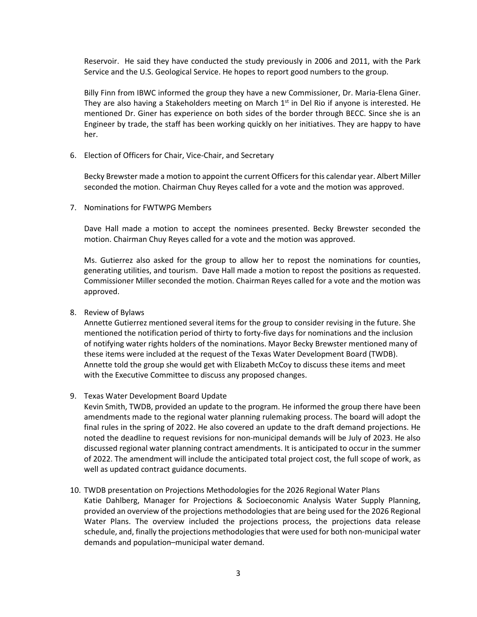Reservoir. He said they have conducted the study previously in 2006 and 2011, with the Park Service and the U.S. Geological Service. He hopes to report good numbers to the group.

Billy Finn from IBWC informed the group they have a new Commissioner, Dr. Maria-Elena Giner. They are also having a Stakeholders meeting on March  $1<sup>st</sup>$  in Del Rio if anyone is interested. He mentioned Dr. Giner has experience on both sides of the border through BECC. Since she is an Engineer by trade, the staff has been working quickly on her initiatives. They are happy to have her.

6. Election of Officers for Chair, Vice-Chair, and Secretary

Becky Brewster made a motion to appoint the current Officers for this calendar year. Albert Miller seconded the motion. Chairman Chuy Reyes called for a vote and the motion was approved.

7. Nominations for FWTWPG Members

Dave Hall made a motion to accept the nominees presented. Becky Brewster seconded the motion. Chairman Chuy Reyes called for a vote and the motion was approved.

Ms. Gutierrez also asked for the group to allow her to repost the nominations for counties, generating utilities, and tourism. Dave Hall made a motion to repost the positions as requested. Commissioner Miller seconded the motion. Chairman Reyes called for a vote and the motion was approved.

8. Review of Bylaws

Annette Gutierrez mentioned several items for the group to consider revising in the future. She mentioned the notification period of thirty to forty-five days for nominations and the inclusion of notifying water rights holders of the nominations. Mayor Becky Brewster mentioned many of these items were included at the request of the Texas Water Development Board (TWDB). Annette told the group she would get with Elizabeth McCoy to discuss these items and meet with the Executive Committee to discuss any proposed changes.

9. Texas Water Development Board Update

Kevin Smith, TWDB, provided an update to the program. He informed the group there have been amendments made to the regional water planning rulemaking process. The board will adopt the final rules in the spring of 2022. He also covered an update to the draft demand projections. He noted the deadline to request revisions for non-municipal demands will be July of 2023. He also discussed regional water planning contract amendments. It is anticipated to occur in the summer of 2022. The amendment will include the anticipated total project cost, the full scope of work, as well as updated contract guidance documents.

10. TWDB presentation on Projections Methodologies for the 2026 Regional Water Plans Katie Dahlberg, Manager for Projections & Socioeconomic Analysis Water Supply Planning, provided an overview of the projections methodologies that are being used for the 2026 Regional Water Plans. The overview included the projections process, the projections data release schedule, and, finally the projections methodologiesthat were used for both non-municipal water demands and population–municipal water demand.